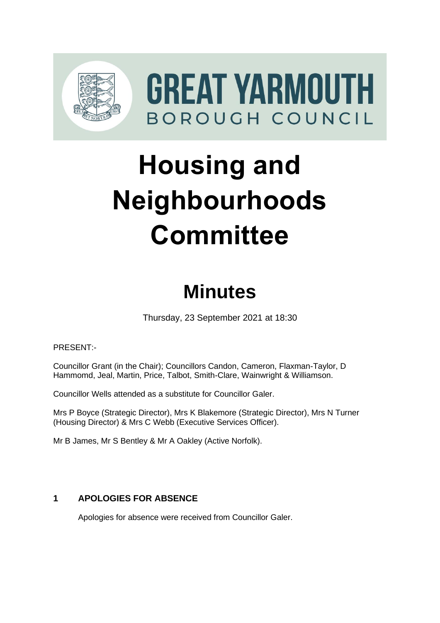

GREAT YARMOUTH BOROUGH COUNCIL

# **Housing and Neighbourhoods Committee**

# **Minutes**

Thursday, 23 September 2021 at 18:30

PRESENT:-

Councillor Grant (in the Chair); Councillors Candon, Cameron, Flaxman-Taylor, D Hammomd, Jeal, Martin, Price, Talbot, Smith-Clare, Wainwright & Williamson.

Councillor Wells attended as a substitute for Councillor Galer.

Mrs P Boyce (Strategic Director), Mrs K Blakemore (Strategic Director), Mrs N Turner (Housing Director) & Mrs C Webb (Executive Services Officer).

Mr B James, Mr S Bentley & Mr A Oakley (Active Norfolk).

# **1** APOLOGIES FOR ABSENCE

Apologies for absence were received from Councillor Galer.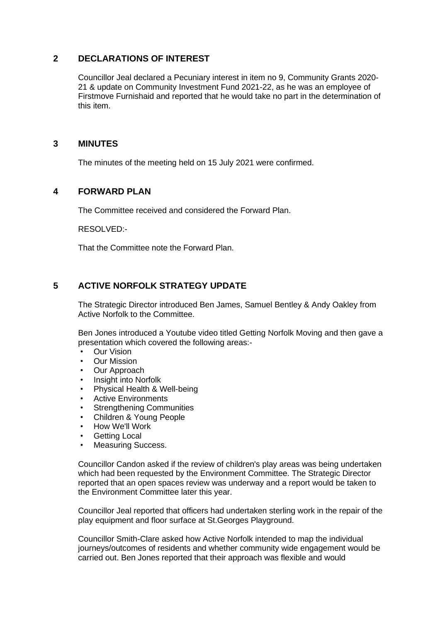#### **2 DECLARATIONS OF INTEREST** 2

Councillor Jeal declared a Pecuniary interest in item no 9, Community Grants 2020- 21 & update on Community Investment Fund 2021-22, as he was an employee of Firstmove Furnishaid and reported that he would take no part in the determination of this item.

#### **3 MINUTES** 3

The minutes of the meeting held on 15 July 2021 were confirmed.

#### **4 FORWARD PLAN** 4

The Committee received and considered the Forward Plan.

RESOLVED:-

That the Committee note the Forward Plan.

### **5 ACTIVE NORFOLK STRATEGY UPDATE** 5

The Strategic Director introduced Ben James, Samuel Bentley & Andy Oakley from Active Norfolk to the Committee.

Ben Jones introduced a Youtube video titled Getting Norfolk Moving and then gave a presentation which covered the following areas:-

- Our Vision
- Our Mission
- Our Approach
- Insight into Norfolk
- Physical Health & Well-being
- Active Environments
- **Strengthening Communities**
- Children & Young People
- How We'll Work
- Getting Local
- Measuring Success.

Councillor Candon asked if the review of children's play areas was being undertaken which had been requested by the Environment Committee. The Strategic Director reported that an open spaces review was underway and a report would be taken to the Environment Committee later this year.

Councillor Jeal reported that officers had undertaken sterling work in the repair of the play equipment and floor surface at St.Georges Playground.

Councillor Smith-Clare asked how Active Norfolk intended to map the individual journeys/outcomes of residents and whether community wide engagement would be carried out. Ben Jones reported that their approach was flexible and would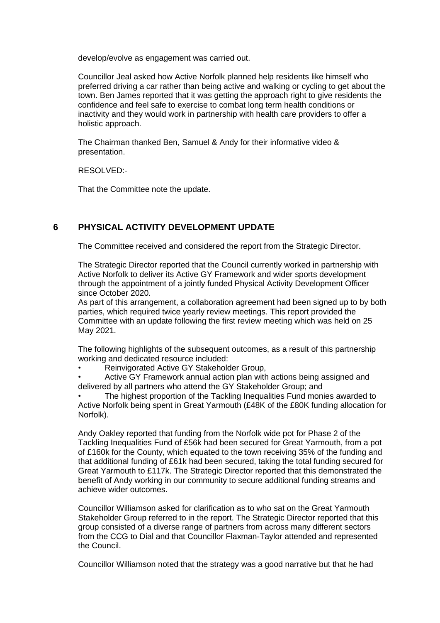develop/evolve as engagement was carried out.

Councillor Jeal asked how Active Norfolk planned help residents like himself who preferred driving a car rather than being active and walking or cycling to get about the town. Ben James reported that it was getting the approach right to give residents the confidence and feel safe to exercise to combat long term health conditions or inactivity and they would work in partnership with health care providers to offer a holistic approach.

The Chairman thanked Ben, Samuel & Andy for their informative video & presentation.

RESOLVED:-

That the Committee note the update.

## **6 PHYSICAL ACTIVITY DEVELOPMENT UPDATE** 6

The Committee received and considered the report from the Strategic Director.

The Strategic Director reported that the Council currently worked in partnership with Active Norfolk to deliver its Active GY Framework and wider sports development through the appointment of a jointly funded Physical Activity Development Officer since October 2020.

As part of this arrangement, a collaboration agreement had been signed up to by both parties, which required twice yearly review meetings. This report provided the Committee with an update following the first review meeting which was held on 25 May 2021.

The following highlights of the subsequent outcomes, as a result of this partnership working and dedicated resource included:

• Reinvigorated Active GY Stakeholder Group,

• Active GY Framework annual action plan with actions being assigned and delivered by all partners who attend the GY Stakeholder Group; and

• The highest proportion of the Tackling Inequalities Fund monies awarded to Active Norfolk being spent in Great Yarmouth (£48K of the £80K funding allocation for Norfolk).

Andy Oakley reported that funding from the Norfolk wide pot for Phase 2 of the Tackling Inequalities Fund of £56k had been secured for Great Yarmouth, from a pot of £160k for the County, which equated to the town receiving 35% of the funding and that additional funding of £61k had been secured, taking the total funding secured for Great Yarmouth to £117k. The Strategic Director reported that this demonstrated the benefit of Andy working in our community to secure additional funding streams and achieve wider outcomes.

Councillor Williamson asked for clarification as to who sat on the Great Yarmouth Stakeholder Group referred to in the report. The Strategic Director reported that this group consisted of a diverse range of partners from across many different sectors from the CCG to Dial and that Councillor Flaxman-Taylor attended and represented the Council.

Councillor Williamson noted that the strategy was a good narrative but that he had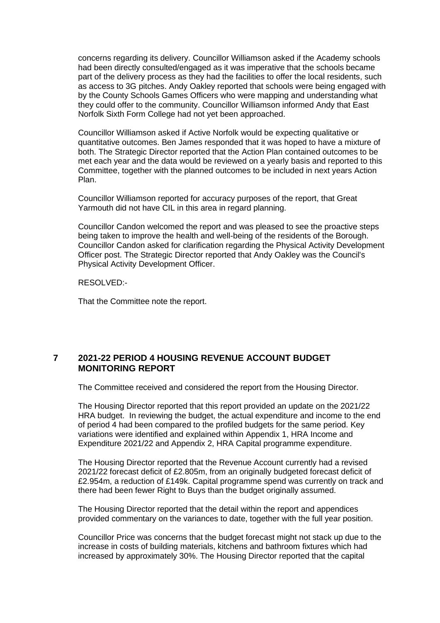concerns regarding its delivery. Councillor Williamson asked if the Academy schools had been directly consulted/engaged as it was imperative that the schools became part of the delivery process as they had the facilities to offer the local residents, such as access to 3G pitches. Andy Oakley reported that schools were being engaged with by the County Schools Games Officers who were mapping and understanding what they could offer to the community. Councillor Williamson informed Andy that East Norfolk Sixth Form College had not yet been approached.

Councillor Williamson asked if Active Norfolk would be expecting qualitative or quantitative outcomes. Ben James responded that it was hoped to have a mixture of both. The Strategic Director reported that the Action Plan contained outcomes to be met each year and the data would be reviewed on a yearly basis and reported to this Committee, together with the planned outcomes to be included in next years Action Plan.

Councillor Williamson reported for accuracy purposes of the report, that Great Yarmouth did not have CIL in this area in regard planning.

Councillor Candon welcomed the report and was pleased to see the proactive steps being taken to improve the health and well-being of the residents of the Borough. Councillor Candon asked for clarification regarding the Physical Activity Development Officer post. The Strategic Director reported that Andy Oakley was the Council's Physical Activity Development Officer.

RESOLVED:-

That the Committee note the report.

#### **7 2021-22 PERIOD 4 HOUSING REVENUE ACCOUNT BUDGET MONITORING REPORT**

The Committee received and considered the report from the Housing Director.

The Housing Director reported that this report provided an update on the 2021/22 HRA budget. In reviewing the budget, the actual expenditure and income to the end of period 4 had been compared to the profiled budgets for the same period. Key variations were identified and explained within Appendix 1, HRA Income and Expenditure 2021/22 and Appendix 2, HRA Capital programme expenditure.

The Housing Director reported that the Revenue Account currently had a revised 2021/22 forecast deficit of £2.805m, from an originally budgeted forecast deficit of £2.954m, a reduction of £149k. Capital programme spend was currently on track and there had been fewer Right to Buys than the budget originally assumed.

The Housing Director reported that the detail within the report and appendices provided commentary on the variances to date, together with the full year position.

Councillor Price was concerns that the budget forecast might not stack up due to the increase in costs of building materials, kitchens and bathroom fixtures which had increased by approximately 30%. The Housing Director reported that the capital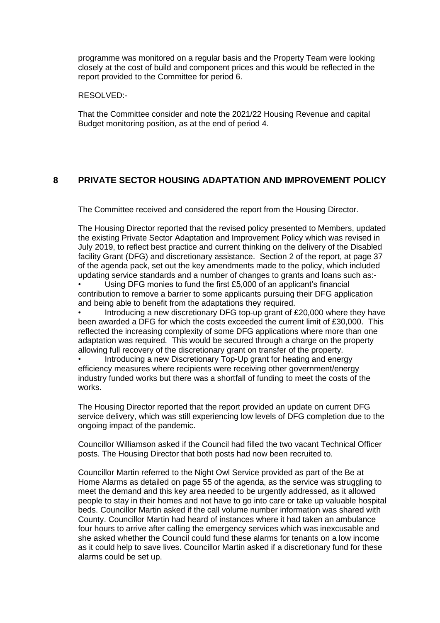programme was monitored on a regular basis and the Property Team were looking closely at the cost of build and component prices and this would be reflected in the report provided to the Committee for period 6.

RESOLVED:-

That the Committee consider and note the 2021/22 Housing Revenue and capital Budget monitoring position, as at the end of period 4.

#### **8 PRIVATE SECTOR HOUSING ADAPTATION AND IMPROVEMENT POLICY**

The Committee received and considered the report from the Housing Director.

The Housing Director reported that the revised policy presented to Members, updated the existing Private Sector Adaptation and Improvement Policy which was revised in July 2019, to reflect best practice and current thinking on the delivery of the Disabled facility Grant (DFG) and discretionary assistance. Section 2 of the report, at page 37 of the agenda pack, set out the key amendments made to the policy, which included updating service standards and a number of changes to grants and loans such as:-

• Using DFG monies to fund the first £5,000 of an applicant's financial contribution to remove a barrier to some applicants pursuing their DFG application and being able to benefit from the adaptations they required.

• Introducing a new discretionary DFG top-up grant of £20,000 where they have been awarded a DFG for which the costs exceeded the current limit of £30,000. This reflected the increasing complexity of some DFG applications where more than one adaptation was required. This would be secured through a charge on the property allowing full recovery of the discretionary grant on transfer of the property.

• Introducing a new Discretionary Top-Up grant for heating and energy efficiency measures where recipients were receiving other government/energy industry funded works but there was a shortfall of funding to meet the costs of the works.

The Housing Director reported that the report provided an update on current DFG service delivery, which was still experiencing low levels of DFG completion due to the ongoing impact of the pandemic.

Councillor Williamson asked if the Council had filled the two vacant Technical Officer posts. The Housing Director that both posts had now been recruited to.

Councillor Martin referred to the Night Owl Service provided as part of the Be at Home Alarms as detailed on page 55 of the agenda, as the service was struggling to meet the demand and this key area needed to be urgently addressed, as it allowed people to stay in their homes and not have to go into care or take up valuable hospital beds. Councillor Martin asked if the call volume number information was shared with County. Councillor Martin had heard of instances where it had taken an ambulance four hours to arrive after calling the emergency services which was inexcusable and she asked whether the Council could fund these alarms for tenants on a low income as it could help to save lives. Councillor Martin asked if a discretionary fund for these alarms could be set up.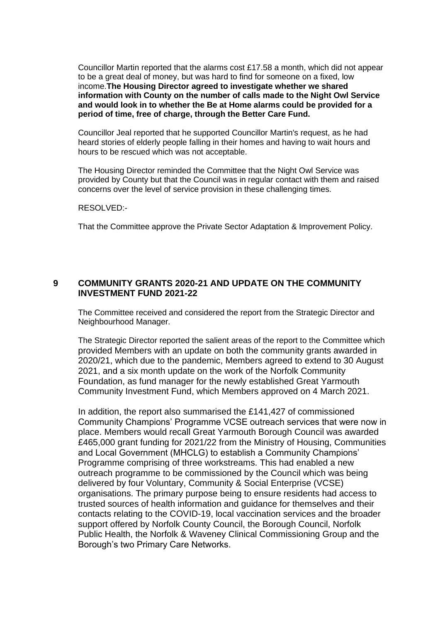Councillor Martin reported that the alarms cost £17.58 a month, which did not appear to be a great deal of money, but was hard to find for someone on a fixed, low income.**The Housing Director agreed to investigate whether we shared information with County on the number of calls made to the Night Owl Service and would look in to whether the Be at Home alarms could be provided for a period of time, free of charge, through the Better Care Fund.**

Councillor Jeal reported that he supported Councillor Martin's request, as he had heard stories of elderly people falling in their homes and having to wait hours and hours to be rescued which was not acceptable.

The Housing Director reminded the Committee that the Night Owl Service was provided by County but that the Council was in regular contact with them and raised concerns over the level of service provision in these challenging times.

#### RESOLVED:-

That the Committee approve the Private Sector Adaptation & Improvement Policy.

#### **9 COMMUNITY GRANTS 2020-21 AND UPDATE ON THE COMMUNITY INVESTMENT FUND 2021-22**

The Committee received and considered the report from the Strategic Director and Neighbourhood Manager.

The Strategic Director reported the salient areas of the report to the Committee which provided Members with an update on both the community grants awarded in 2020/21, which due to the pandemic, Members agreed to extend to 30 August 2021, and a six month update on the work of the Norfolk Community Foundation, as fund manager for the newly established Great Yarmouth Community Investment Fund, which Members approved on 4 March 2021.

In addition, the report also summarised the £141,427 of commissioned Community Champions' Programme VCSE outreach services that were now in place. Members would recall Great Yarmouth Borough Council was awarded £465,000 grant funding for 2021/22 from the Ministry of Housing, Communities and Local Government (MHCLG) to establish a Community Champions' Programme comprising of three workstreams. This had enabled a new outreach programme to be commissioned by the Council which was being delivered by four Voluntary, Community & Social Enterprise (VCSE) organisations. The primary purpose being to ensure residents had access to trusted sources of health information and guidance for themselves and their contacts relating to the COVID-19, local vaccination services and the broader support offered by Norfolk County Council, the Borough Council, Norfolk Public Health, the Norfolk & Waveney Clinical Commissioning Group and the Borough's two Primary Care Networks.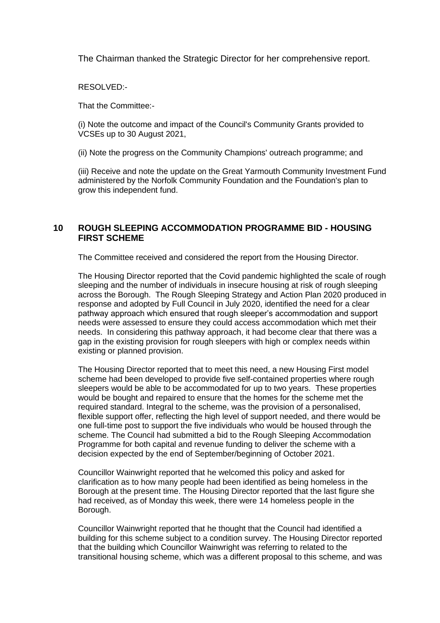The Chairman thanked the Strategic Director for her comprehensive report.

RESOLVED:-

That the Committee:-

(i) Note the outcome and impact of the Council's Community Grants provided to VCSEs up to 30 August 2021,

(ii) Note the progress on the Community Champions' outreach programme; and

(iii) Receive and note the update on the Great Yarmouth Community Investment Fund administered by the Norfolk Community Foundation and the Foundation's plan to grow this independent fund.

#### **10 ROUGH SLEEPING ACCOMMODATION PROGRAMME BID - HOUSING FIRST SCHEME**

The Committee received and considered the report from the Housing Director.

The Housing Director reported that the Covid pandemic highlighted the scale of rough sleeping and the number of individuals in insecure housing at risk of rough sleeping across the Borough. The Rough Sleeping Strategy and Action Plan 2020 produced in response and adopted by Full Council in July 2020, identified the need for a clear pathway approach which ensured that rough sleeper's accommodation and support needs were assessed to ensure they could access accommodation which met their needs. In considering this pathway approach, it had become clear that there was a gap in the existing provision for rough sleepers with high or complex needs within existing or planned provision.

The Housing Director reported that to meet this need, a new Housing First model scheme had been developed to provide five self-contained properties where rough sleepers would be able to be accommodated for up to two years. These properties would be bought and repaired to ensure that the homes for the scheme met the required standard. Integral to the scheme, was the provision of a personalised, flexible support offer, reflecting the high level of support needed, and there would be one full-time post to support the five individuals who would be housed through the scheme. The Council had submitted a bid to the Rough Sleeping Accommodation Programme for both capital and revenue funding to deliver the scheme with a decision expected by the end of September/beginning of October 2021.

Councillor Wainwright reported that he welcomed this policy and asked for clarification as to how many people had been identified as being homeless in the Borough at the present time. The Housing Director reported that the last figure she had received, as of Monday this week, there were 14 homeless people in the Borough.

Councillor Wainwright reported that he thought that the Council had identified a building for this scheme subject to a condition survey. The Housing Director reported that the building which Councillor Wainwright was referring to related to the transitional housing scheme, which was a different proposal to this scheme, and was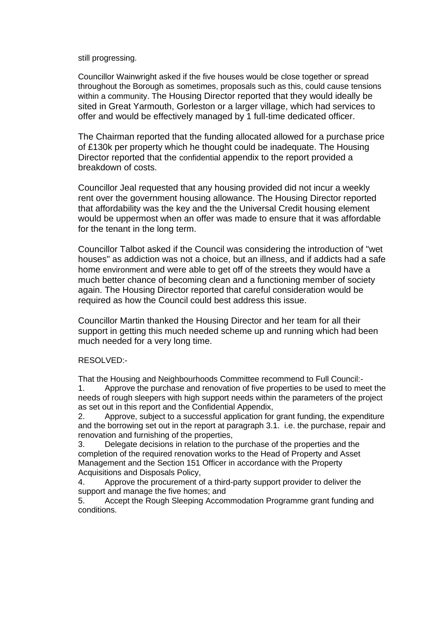#### still progressing.

Councillor Wainwright asked if the five houses would be close together or spread throughout the Borough as sometimes, proposals such as this, could cause tensions within a community. The Housing Director reported that they would ideally be sited in Great Yarmouth, Gorleston or a larger village, which had services to offer and would be effectively managed by 1 full-time dedicated officer.

The Chairman reported that the funding allocated allowed for a purchase price of £130k per property which he thought could be inadequate. The Housing Director reported that the confidential appendix to the report provided a breakdown of costs.

Councillor Jeal requested that any housing provided did not incur a weekly rent over the government housing allowance. The Housing Director reported that affordability was the key and the the Universal Credit housing element would be uppermost when an offer was made to ensure that it was affordable for the tenant in the long term.

Councillor Talbot asked if the Council was considering the introduction of "wet houses" as addiction was not a choice, but an illness, and if addicts had a safe home environment and were able to get off of the streets they would have a much better chance of becoming clean and a functioning member of society again. The Housing Director reported that careful consideration would be required as how the Council could best address this issue.

Councillor Martin thanked the Housing Director and her team for all their support in getting this much needed scheme up and running which had been much needed for a very long time.

#### RESOLVED:-

That the Housing and Neighbourhoods Committee recommend to Full Council:- 1. Approve the purchase and renovation of five properties to be used to meet the needs of rough sleepers with high support needs within the parameters of the project

as set out in this report and the Confidential Appendix, 2. Approve, subject to a successful application for grant funding, the expenditure

and the borrowing set out in the report at paragraph 3.1. i.e. the purchase, repair and renovation and furnishing of the properties,

3. Delegate decisions in relation to the purchase of the properties and the completion of the required renovation works to the Head of Property and Asset Management and the Section 151 Officer in accordance with the Property Acquisitions and Disposals Policy,

4. Approve the procurement of a third-party support provider to deliver the support and manage the five homes; and

5. Accept the Rough Sleeping Accommodation Programme grant funding and conditions.